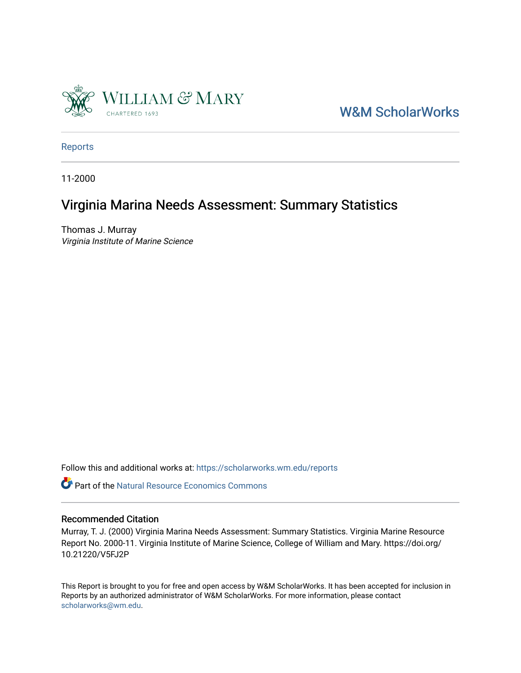

[W&M ScholarWorks](https://scholarworks.wm.edu/) 

[Reports](https://scholarworks.wm.edu/reports)

11-2000

# Virginia Marina Needs Assessment: Summary Statistics

Thomas J. Murray Virginia Institute of Marine Science

Follow this and additional works at: [https://scholarworks.wm.edu/reports](https://scholarworks.wm.edu/reports?utm_source=scholarworks.wm.edu%2Freports%2F1120&utm_medium=PDF&utm_campaign=PDFCoverPages)

Part of the [Natural Resource Economics Commons](http://network.bepress.com/hgg/discipline/169?utm_source=scholarworks.wm.edu%2Freports%2F1120&utm_medium=PDF&utm_campaign=PDFCoverPages)

#### Recommended Citation

Murray, T. J. (2000) Virginia Marina Needs Assessment: Summary Statistics. Virginia Marine Resource Report No. 2000-11. Virginia Institute of Marine Science, College of William and Mary. https://doi.org/ 10.21220/V5FJ2P

This Report is brought to you for free and open access by W&M ScholarWorks. It has been accepted for inclusion in Reports by an authorized administrator of W&M ScholarWorks. For more information, please contact [scholarworks@wm.edu.](mailto:scholarworks@wm.edu)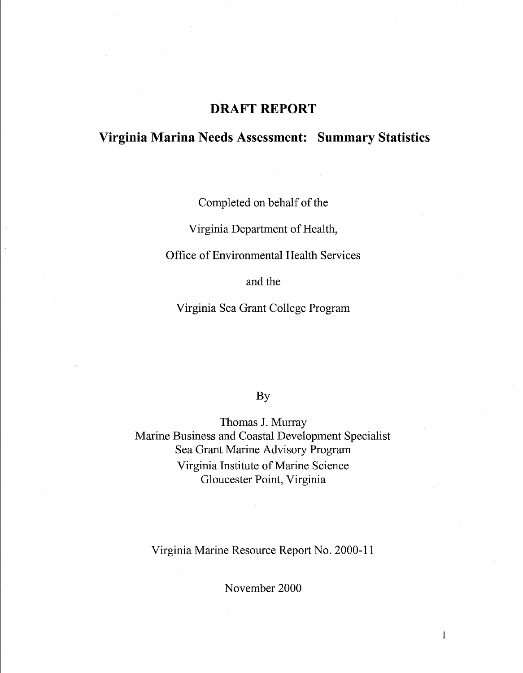# **DRAFT REPORT**

# **Virginia Marina Needs Assessment: Summary Statistics**

Completed on behalf of the

Virginia Department of Health,

Office of Environmental Health Services

and the

Virginia Sea Grant College Program

# By

Thomas J. Murray Marine Business and Coastal Development Specialist Sea Grant Marine Advisory Program Virginia Institute of Marine Science Gloucester Point, Virginia

Virginia Marine Resource Report No. 2000-11

November 2000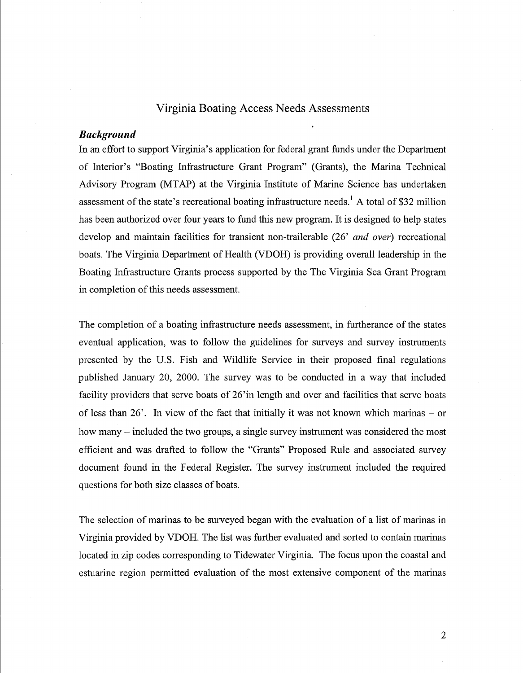# Virginia Boating Access Needs Assessments

#### *Background*

In an effort to support Virginia's application for federal grant funds under the Department of Interior's "Boating Infrastructure Grant Program" (Grants), the Marina Technical Advisory Program (MT AP) at the Virginia Institute of Marine Science has undertaken assessment of the state's recreational boating infrastructure needs.<sup>1</sup> A total of \$32 million has been authorized over four years to fund this new program. It is designed to help states develop and maintain facilities for transient non-trailerable (26' *and over)* recreational boats. The Virginia Department of Health (VDOH) is providing overall leadership in the Boating Infrastructure Grants process supported by the The Virginia Sea Grant Program in completion of this needs assessment.

The completion of a boating infrastructure needs assessment, in furtherance of the states eventual application, was to follow the guidelines for surveys and survey instruments presented by the U.S. Fish and Wildlife Service in their proposed final regulations published January 20, 2000. The survey was to be conducted in a way that included facility providers that serve boats of 26'in length and over and facilities that serve boats of less than  $26'$ . In view of the fact that initially it was not known which marinas – or how many – included the two groups, a single survey instrument was considered the most efficient and was drafted to follow the "Grants" Proposed Rule and associated survey document found in the Federal Register. The survey instrument included the required questions for both size classes of boats.

The selection of marinas to be surveyed began with the evaluation of a list of marinas in Virginia provided by VDOH. The list was further evaluated and sorted to contain marinas located in zip codes corresponding to Tidewater Virginia. The focus upon the coastal and estuarine region permitted evaluation of the most extensive component of the marinas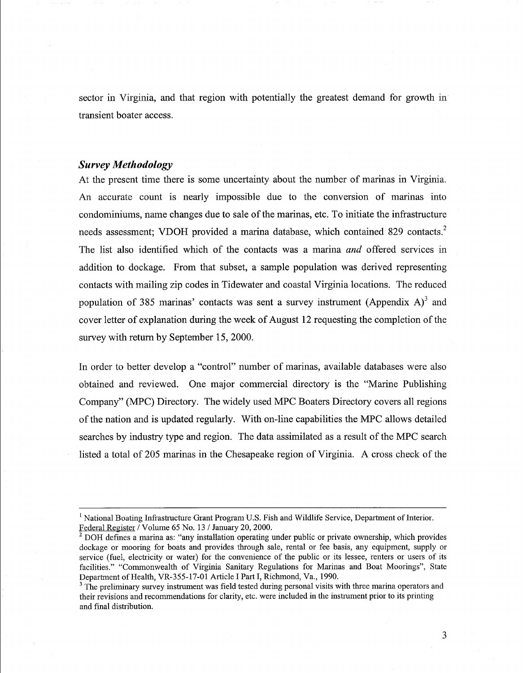sector in Virginia, and that region with potentially the greatest demand for growth in transient boater access.

#### *Survey Methodology*

At the present time there is some uncertainty about the number of marinas in Virginia. An accurate count is nearly impossible due to the conversion of marinas into condominiums, name changes due to sale of the marinas, etc. To initiate the infrastructure needs assessment; VDOH provided a marina database, which contained 829 contacts.<sup>2</sup> The list also identified which of the contacts was a marina *and* offered services in addition to dockage. From that subset, a sample population was derived representing contacts with mailing zip codes in Tidewater and coastal Virginia locations. The reduced population of 385 marinas' contacts was sent a survey instrument (Appendix  $A$ )<sup>3</sup> and cover letter of explanation during the week of August 12 requesting the completion of the survey with return by September 15, 2000.

In order to better develop a "control" number of marinas, available databases were also obtained and reviewed. One major commercial directory is the "Marine Publishing Company" (MPC) Directory. The widely used MPC Boaters Directory covers all regions of the nation and is updated regularly. With on-line capabilities the MPC allows detailed searches by industry type and region. The data assimilated as a result of the MPC search listed a total of 205 marinas in the Chesapeake region of Virginia. A cross check of the

 $<sup>1</sup>$  National Boating Infrastructure Grant Program U.S. Fish and Wildlife Service, Department of Interior.</sup> Federal Register/ Volume 65 No. 13 / January 20, 2000.

 $2$  DOH defines a marina as: "any installation operating under public or private ownership, which provides dockage or mooring for boats and provides through sale, rental or fee basis, any equipment, supply or service (fuel, electricity or water) for the convenience of the public or its lessee, renters or users of its facilities." "Commonwealth of Virginia Sanitary Regulations for Marinas and Boat Moorings", State Department of Health, VR-355-17-01 Article I Part I, Richmond, Va., 1990.

<sup>&</sup>lt;sup>3</sup> The preliminary survey instrument was field tested during personal visits with three marina operators and their revisions and recommendations for clarity, etc. were included in the instrument prior to its printing and final distribution.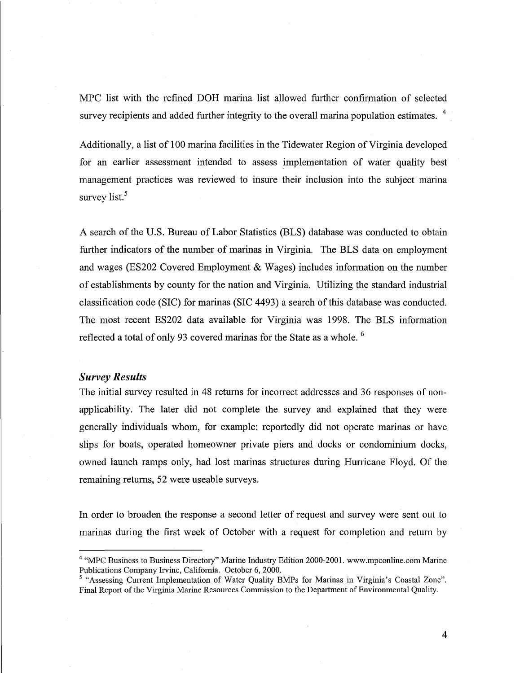MPC list with the refined DOH marina list allowed further confirmation of selected survey recipients and added further integrity to the overall marina population estimates. <sup>4</sup>

Additionally, a list of 100 marina facilities in the Tidewater Region of Virginia developed for an earlier assessment intended to assess implementation of water quality best management practices was reviewed to insure their inclusion into the subject marina survey list.<sup>5</sup>

A search of the U.S. Bureau of Labor Statistics (BLS) database was conducted to obtain further indicators of the number of marinas in Virginia. The BLS data on employment and wages (ES202 Covered Employment & Wages) includes information on the number of establishments by county for the nation and Virginia. Utilizing the standard industrial classification code (SIC) for marinas (SIC 4493) a search of this database was conducted. The most recent ES202 data available for Virginia was 1998. The BLS information reflected a total of only 93 covered marinas for the State as a whole. <sup>6</sup>

#### *Survey Results*

The initial survey resulted in 48 returns for incorrect addresses and 36 responses of nonapplicability. The later did not complete the survey and explained that they were generally individuals whom, for example: reportedly did not operate marinas or have slips for boats, operated homeowner private piers and docks or condominium docks, owned launch ramps only, had lost marinas structures during Hurricane Floyd. Of the remaining returns, 52 were useable surveys.

In order to broaden the response a second letter of request and survey were sent out to marinas during the first week of October with a request for completion and return by

<sup>&</sup>lt;sup>4</sup> "MPC Business to Business Directory" Marine Industry Edition 2000-2001. www.mpconline.com Marine Publications Company Irvine, California. October 6, 2000.

<sup>&</sup>lt;sup>5</sup> "Assessing Current Implementation of Water Quality BMPs for Marinas in Virginia's Coastal Zone". Final Report of the Virginia Marine Resources Commission to the Department of Environmental Quality.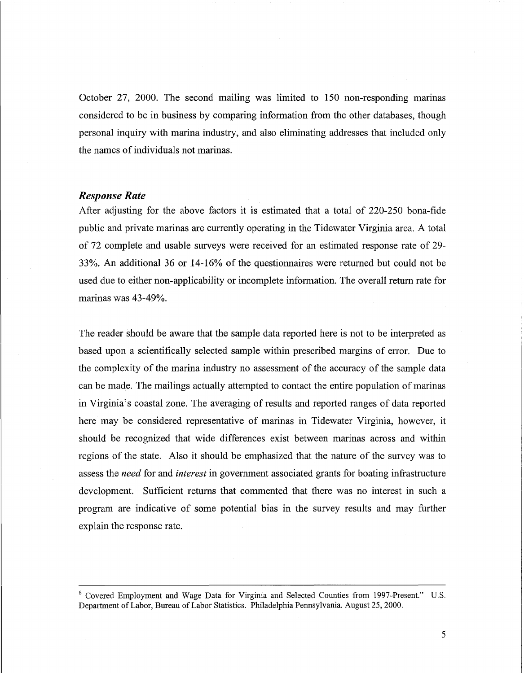October 27, 2000. The second mailing was limited to 150 non-responding marinas considered to be in business by comparing information from the other databases, though personal inquiry with marina industry, and also eliminating addresses that included only the names of individuals not marinas.

#### *Response Rate*

After adjusting for the above factors it is estimated that a total of 220-250 bona-fide public and private marinas are currently operating in the Tidewater Virginia area. A total of 72 complete and usable surveys were received for an estimated response rate of 29- 33 %. An additional 36 or 14-16% of the questionnaires were returned but could not be used due to either non-applicability or incomplete information. The overall return rate for marinas was 43-49%.

The reader should be aware that the sample data reported here is not to be interpreted as based upon a scientifically selected sample within prescribed margins of error. Due to the complexity of the marina industry no assessment of the accuracy of the sample data can be made. The mailings actually attempted to contact the entire population of marinas in Virginia's coastal zone. The averaging of results and reported ranges of data reported here may be considered representative of marinas in Tidewater Virginia, however, it should be recognized that wide differences exist between marinas across and within regions of the state. Also it should be emphasized that the nature of the survey was to assess the *need* for and *interest* in government associated grants for boating infrastructure development. Sufficient returns that commented that there was no interest in such a program are indicative of some potential bias in the survey results and may further explain the response rate.

<sup>&</sup>lt;sup>6</sup> Covered Employment and Wage Data for Virginia and Selected Counties from 1997-Present." U.S. Department of Labor, Bureau of Labor Statistics. Philadelphia Pennsylvania. August 25, 2000.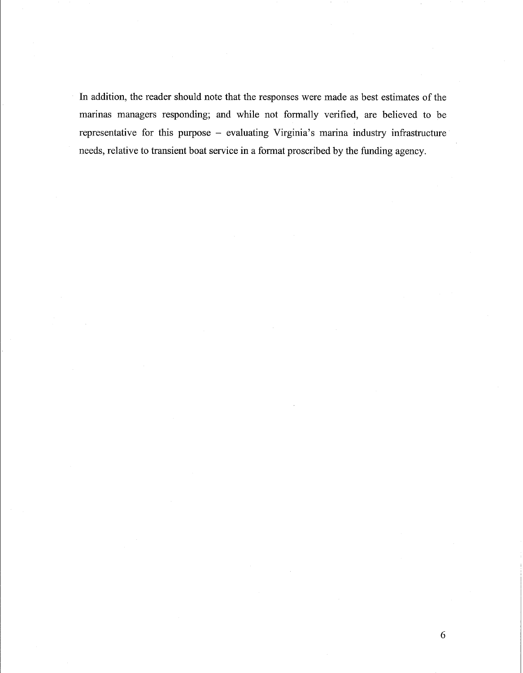In addition, the reader should note that the responses were made as best estimates of the marinas managers responding; and while not formally verified, are believed to be representative for this purpose - evaluating Virginia's marina industry infrastructure needs, relative to transient boat service in a format proscribed by the funding agency.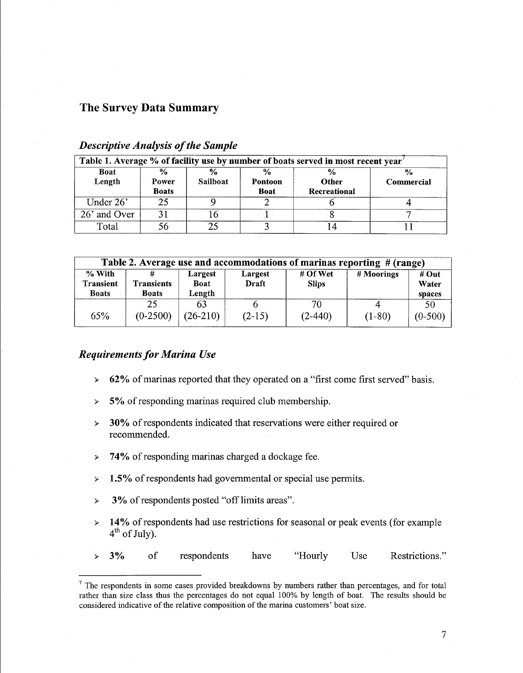#### **The Survey Data Summary**

| Table 1. Average % of facility use by number of boats served in most recent year |                                        |                                  |                                         |                               |                             |  |
|----------------------------------------------------------------------------------|----------------------------------------|----------------------------------|-----------------------------------------|-------------------------------|-----------------------------|--|
| <b>Boat</b><br>Length                                                            | $\frac{6}{9}$<br>Power<br><b>Boats</b> | $\frac{6}{9}$<br><b>Sailboat</b> | $\frac{0}{0}$<br>Pontoon<br><b>Boat</b> | $\%$<br>Other<br>Recreational | $\frac{0}{0}$<br>Commercial |  |
| Under $26'$                                                                      | 25                                     |                                  |                                         |                               |                             |  |
| 26' and Over                                                                     |                                        |                                  |                                         |                               |                             |  |
| Total                                                                            | 56                                     |                                  |                                         |                               |                             |  |

# *Descriptive Analysis of the Sample*

| Table 2. Average use and accommodations of marinas reporting # (range) |                                   |                                  |                  |                          |            |                          |
|------------------------------------------------------------------------|-----------------------------------|----------------------------------|------------------|--------------------------|------------|--------------------------|
| % With<br><b>Transient</b><br><b>Boats</b>                             | <b>Transients</b><br><b>Boats</b> | Largest<br><b>Boat</b><br>Length | Largest<br>Draft | # Of Wet<br><b>Slips</b> | # Moorings | # Out<br>Water<br>spaces |
| 65%                                                                    | 25<br>$(0-2500)$                  | 63<br>$(26-210)$                 | $(2-15)$         | 70<br>$(2-440)$          | $(1-80)$   | 50<br>$(0-500)$          |

### *Requirements for Marina Use*

- > 62% of marinas reported that they operated on a "first come first served" basis.
- > 5% of responding marinas required club membership.
- > **30%** of respondents indicated that reservations were either required or recommended.
- > **74%** ofresponding marinas charged a dockage fee.
- > **1.5%** ofrespondents had governmental or special use permits.
- > 3% of respondents posted "off limits areas".
- $\geq 14\%$  of respondents had use restrictions for seasonal or peak events (for example  $4<sup>th</sup>$  of July).
- > 3% of respondents have "Hourly Use Restrictions."

 $<sup>7</sup>$  The respondents in some cases provided breakdowns by numbers rather than percentages, and for total</sup> rather than size class thus the percentages do not equal 100% by length of boat. The results should be considered indicative of the relative composition of the marina customers' boat size.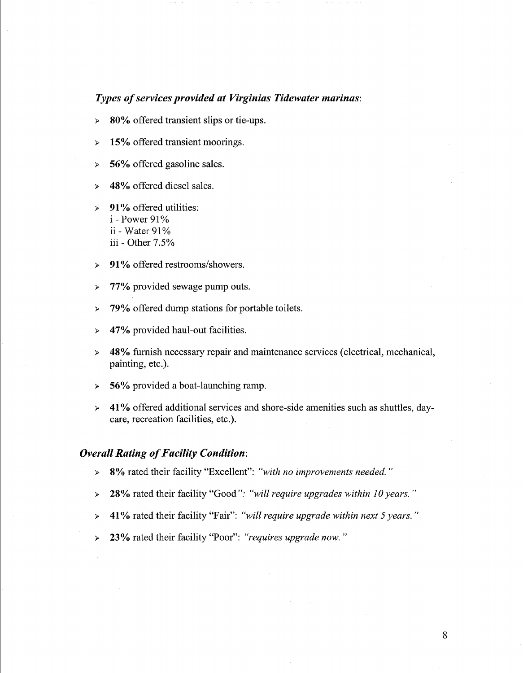#### *Types of services provided at Virginias Tidewater marinas:*

- *»* **80%** offered transient slips or tie-ups.
- *»* **15%** offered transient moorings.
- *»* **56%** offered gasoline sales.
- *»* **48%** offered diesel sales.
- *»* **91** % offered utilities: i - Power 91% ii - Water  $91\%$ iii - Other 7.5%
- *»* **91** % offered restrooms/showers.
- *»* **77%** provided sewage pump outs.
- *»* **79%** offered dump stations for portable toilets.
- *»* **47%** provided haul-out facilities.
- *»* **48%** furnish necessary repair and maintenance services ( electrical, mechanical, painting, etc.).
- *»* **56%** provided a boat-launching ramp.
- *»* **41** % offered additional services and shore-side amenities such as shuttles, daycare, recreation facilities, etc.).

#### *Overall Rating of Facility Condition:*

- *»* **8%** rated their facility "Excellent": *"with no improvements needed."*
- *»* **28%** rated their facility "Good": *"will require upgrades within 10 years.* "
- *»* **41** % rated their facility "Fair": *"will require upgrade within next 5 years."*
- *»* **23%** rated their facility "Poor": *"requires upgrade now."*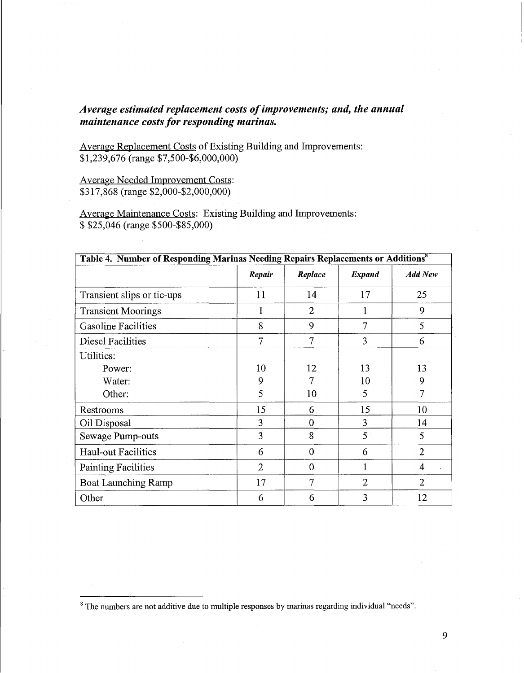## *Average estimated replacement costs of improvements; and, the annual maintenance costs for responding marinas.*

Average Replacement Costs of Existing Building and Improvements: \$1,239,676 (range \$7,500-\$6,000,000)

Average Needed Improvement Costs: \$317,868 (range \$2,000-\$2,000,000)

Average Maintenance Costs: Existing Building and Improvements: \$ \$25,046 (range \$500-\$85,000)

| Table 4. Number of Responding Marinas Needing Repairs Replacements or Additions <sup>8</sup> |                |                |                |                |
|----------------------------------------------------------------------------------------------|----------------|----------------|----------------|----------------|
|                                                                                              | Repair         | Replace        | Expand         | <b>Add New</b> |
| Transient slips or tie-ups                                                                   | 11             | 14             | 17             | 25             |
| <b>Transient Moorings</b>                                                                    | 1              | $\overline{2}$ | 1              | 9              |
| <b>Gasoline Facilities</b>                                                                   | 8              | 9              | 7              | 5              |
| Diesel Facilities                                                                            | $\overline{7}$ | $\overline{7}$ | 3              | 6              |
| Utilities:                                                                                   |                |                |                |                |
| Power:                                                                                       | 10             | 12             | 13             | 13             |
| Water:                                                                                       | 9              |                | 10             | 9              |
| Other:                                                                                       | 5              | 10             | 5              | 7              |
| Restrooms                                                                                    | 15             | 6              | 15             | 10             |
| Oil Disposal                                                                                 | 3              | $\theta$       | 3              | 14             |
| Sewage Pump-outs                                                                             | 3              | 8              | $5^{\circ}$    | 5              |
| Haul-out Facilities                                                                          | 6              | $\theta$       | 6              | $\overline{2}$ |
| <b>Painting Facilities</b>                                                                   | $\overline{2}$ | $\mathbf{0}$   | 1              | $\overline{4}$ |
| <b>Boat Launching Ramp</b>                                                                   | 17             | $\overline{7}$ | $\overline{2}$ | $\overline{2}$ |
| Other                                                                                        | 6              | 6              | 3              | 12             |

<sup>&</sup>lt;sup>8</sup> The numbers are not additive due to multiple responses by marinas regarding individual "needs".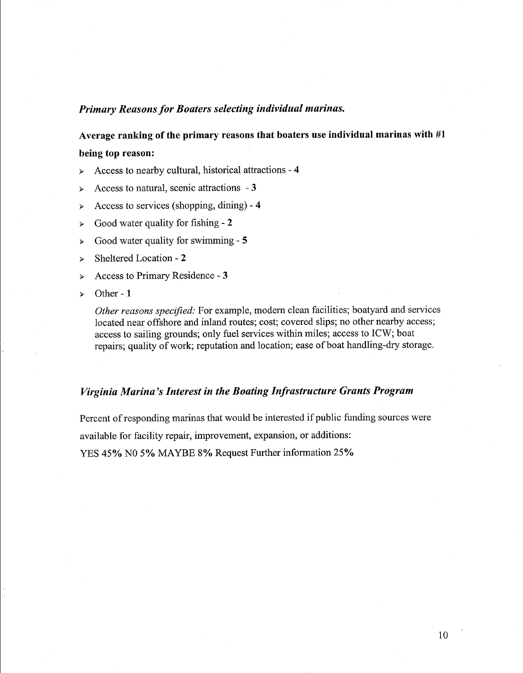#### *Primary Reasons for Boaters selecting individual marinas.*

**Average ranking of the primary reasons that boaters use individual marinas with #1** 

### **being top reason:**

- )- Access to nearby cultural, historical attractions **4**
- )- Access to natural, scenic attractions **3**
- )- Access to services ( shopping, dining) **4**
- )- Good water quality for fishing **2**
- )- Good water quality for swimming **5**
- )- Sheltered Location **2**
- )- Access to Primary Residence **3**
- )- Other **1**

*Other reasons specified:* For example, modem clean facilities; boatyard and services located near offshore and inland routes; cost; covered slips; no other nearby access; access to sailing grounds; only fuel services within miles; access to ICW; boat repairs; quality of work; reputation and location; ease of boat handling-dry storage.

#### *Virginia Marina's Interest in the Boating Infrastructure Grants Program*

Percent of responding marinas that would be interested if public funding sources were available for facility repair, improvement, expansion, or additions: YES 45% NO 5% MAYBE 8% Request Further information 25%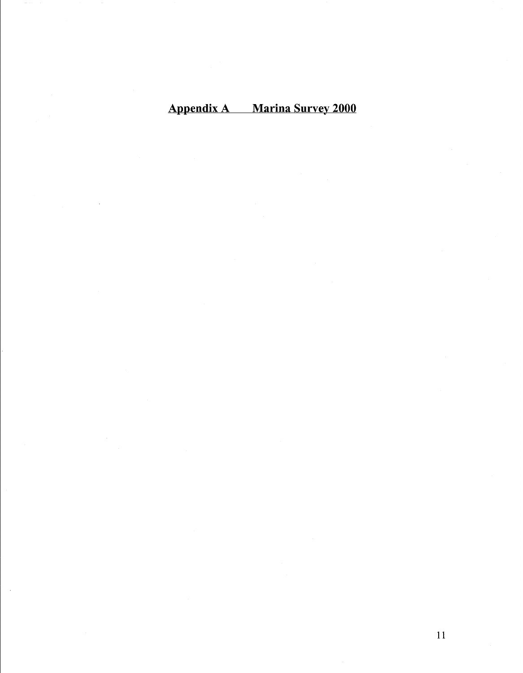# Appendix A Marina Survey 2000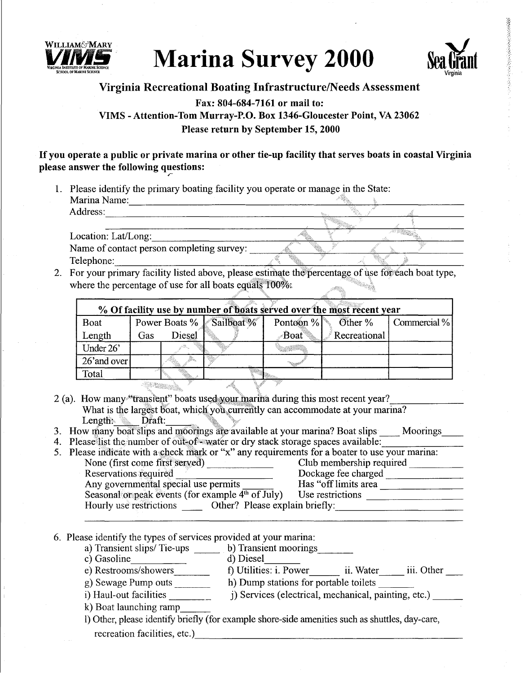

# **Marina Survey 2000**



おきかんだかいときのことになっていることに

## **Virginia Recreational Boating Infrastructure/Needs Assessment**

# **Fax: 804-684-7161 or mail to: VIMS -Attention-Tom Murray-P.O. Box 1346-Gloucester Point, VA 23062 Please return by September 15, 2000**

#### If **you operate a public or private marina or other tie-up facility that serves boats in coastal Virginia**  please answer the following questions:

1. Please identify the primary boating facility you operate or manage in the State:

Marina Name: Address: ------------------------------'-'-----  $\text{Location:}$   $\text{Lat/Long:}$ Location: Lat/Long:<br>Name of contact person completing survey: \_\_\_\_\_\_<br>Telephone:

2. For your primary facility listed above, please estimate the percentage of use for each boat type, where the percentage of use for all boats equals  $100\%$ ;

| % Of facility use by number of boats served over the most recent year |     |        |                          |      |                                 |              |
|-----------------------------------------------------------------------|-----|--------|--------------------------|------|---------------------------------|--------------|
| <b>Boat</b>                                                           |     |        | Power Boats % Sailboat % |      | Pontoon % $\mathcal{O}$ Other % | Commercial % |
| Length                                                                | Gas | Diesel |                          | Boat | Recreational                    |              |
| Under 26'                                                             |     |        |                          |      |                                 |              |
| 26' and over                                                          |     |        |                          |      |                                 |              |
| Total                                                                 |     |        |                          |      |                                 |              |
|                                                                       |     |        |                          |      |                                 |              |

- 2 (a). How many "transient" boats used your marina during this most recent year? What is the largest boat, which you currently can accommodate at your marina?
- Length: Draft: Draft: Draft: Draft: Draft: Draft: Draft: Draft: Draft: Draft: Draft: Draft: 2. (2011)
- 3. How many boat slips and mootings are available at your marina? Boat slips \_\_\_\_ Moorings\_\_\_\_<br>4. Please list the number of out-of-water or dry stack storage spaces available: \_\_\_\_\_\_\_\_\_\_\_\_\_\_\_\_\_\_\_\_\_\_\_\_\_\_\_\_\_

| 5. Please indicate with a check mark or "x" any requirements for a boater to use your marina: |                          |
|-----------------------------------------------------------------------------------------------|--------------------------|
| None (first come first served)                                                                | Club membership required |
| Reservations required                                                                         | Dockage fee charged      |
| Any governmental special use permits                                                          | Has "off limits area     |
| Seasonal or peak events (for example 4 <sup>th</sup> of July)                                 | Use restrictions         |
| Other? Please explain briefly:<br>Hourly use restrictions                                     |                          |

6. Please identify the types of services provided at your marina:

- a) Transient slips/ Tie-ups \_\_ b) Transient moorings \_\_ \_
- a) Transient slips/ Tie-ups \_\_\_\_\_ b) Transient mode c) Gasoline d) Diesel
- e) Restrooms/showers f) Utilities: i. Power ii. Water iii. Other g) Sewage Pump outs \_\_\_\_\_\_\_\_ h) Dump stations for portable toilets \_\_
- i) Haul-out facilities j) Services (electrical, mechanical, painting, etc.) \_\_ \_ i) Haul-out facilities \_\_\_\_\_\_\_\_
- 
- 1) Other, please identify briefly (for example shore-side amenities such as shuttles, day-care, recreation facilities, etc.)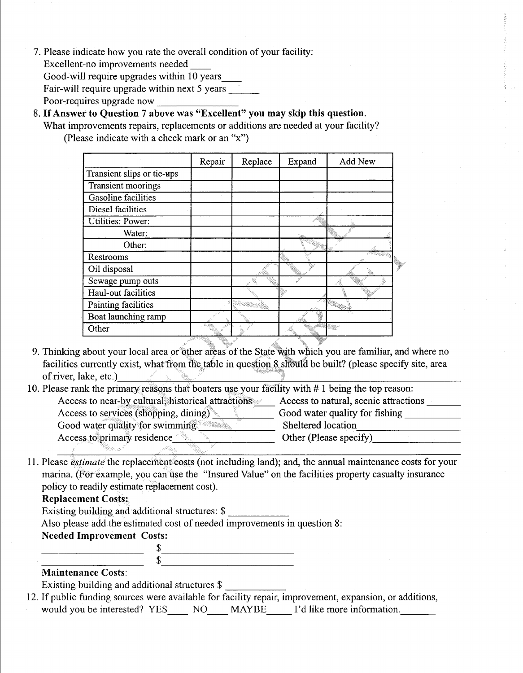- 7. Please indicate how you rate the overall condition of your facility: Excellent-no improvements needed \_\_ Good-will require upgrades within 10 years \_\_ Fair-will require upgrade within next  $5$  years
	- Poor-requires upgrade now \_\_\_\_\_\_\_ \_
- 8. If **Answer to Question** 7 **above was "Excellent" you may skip this question.** 
	- What improvements repairs, replacements or additions are needed at your facility? (Please indicate with a check mark or an "x")

|                            | Repair | Replace | Expand | Add New |
|----------------------------|--------|---------|--------|---------|
| Transient slips or tie-ups |        |         |        |         |
| <b>Transient moorings</b>  |        |         |        |         |
| <b>Gasoline</b> facilities |        |         |        |         |
| Diesel facilities          |        |         |        |         |
| <b>Utilities: Power:</b>   |        |         |        |         |
| Water:                     |        |         |        |         |
| Other:                     |        |         |        |         |
| Restrooms                  |        |         |        |         |
| Oil disposal               |        |         |        | ş       |
| Sewage pump outs           |        |         |        |         |
| Haul-out facilities        |        |         |        |         |
| Painting facilities        |        |         |        |         |
| Boat launching ramp        |        |         |        |         |
| Other                      |        |         |        |         |

9. Thinking about your local area or other areas of the State with which you are familiar, and where no facilities currently exist, what from the table in question 8 should be built? (please specify site, area of river, lake, etc.)  $\qquad \qquad \blacksquare$ 

| 10. Please rank the primary reasons that boaters use your facility with #1 being the top reason: |                                       |
|--------------------------------------------------------------------------------------------------|---------------------------------------|
| Access to near-by cultural, historical attractions                                               | Access to natural, scenic attractions |
| Access to services (shopping, dining)                                                            | Good water quality for fishing        |
| Good water quality for swimming                                                                  | Sheltered location                    |
| Access to primary residence                                                                      | Other (Please specify)                |
|                                                                                                  |                                       |

11. Please *estimate* the replacement costs (not including land); and, the annual maintenance costs for your marina. (For example, you can use the "Insured Value" on the facilities property casualty insurance policy to readily estimate replacement cost).

#### **Replacement Costs:**

**Replacement Costs:**<br>Existing building and additional structures: \$ \_\_\_\_\_\_\_\_\_\_\_\_\_\_\_\_\_\_\_\_\_\_\_\_\_\_\_\_\_\_\_\_\_\_

Also please add the estimated cost of needed improvements in question 8:

**Needed Improvement Costs:** 

 $\frac{\text{S}}{\text{S}}$  $\frac{1}{s}$ 

#### **Maintenance Costs:**

Existing building and additional structures \$

12. If public funding sources were available for facility repair, improvement, expansion, or additions, would you be interested? YES\_\_\_\_ NO\_\_\_\_ MAYBE\_\_\_\_ I'd like more information.